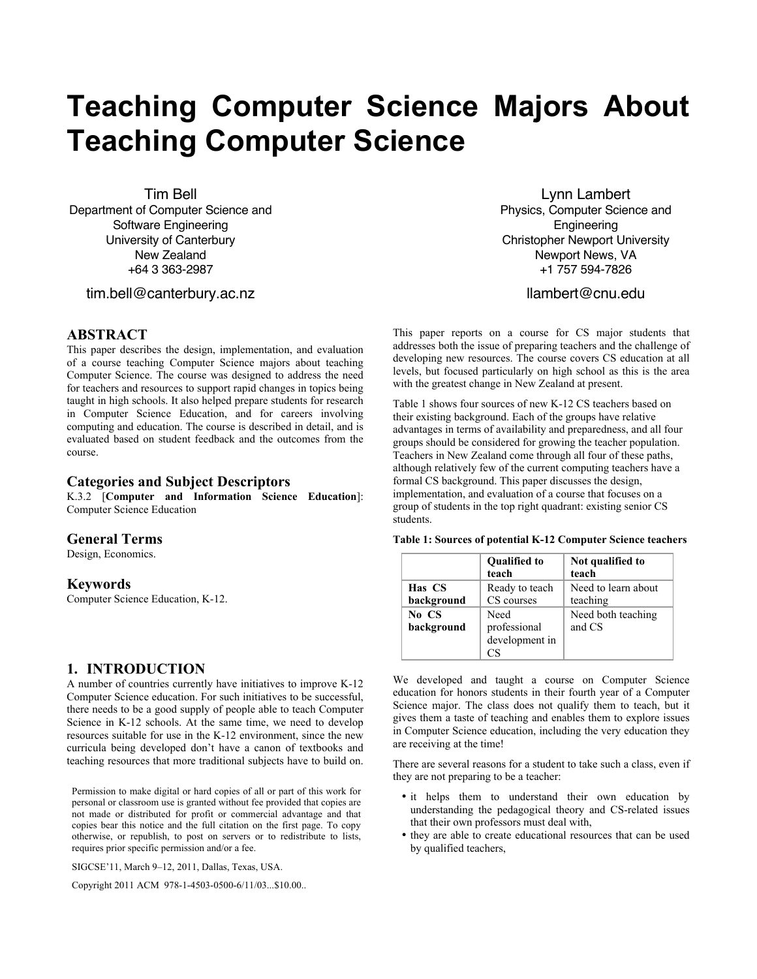# **Teaching Computer Science Majors About Teaching Computer Science**

Tim Bell

Department of Computer Science and Software Engineering University of Canterbury New Zealand +64 3 363-2987

tim.bell@canterbury.ac.nz

#### **ABSTRACT**

This paper describes the design, implementation, and evaluation of a course teaching Computer Science majors about teaching Computer Science. The course was designed to address the need for teachers and resources to support rapid changes in topics being taught in high schools. It also helped prepare students for research in Computer Science Education, and for careers involving computing and education. The course is described in detail, and is evaluated based on student feedback and the outcomes from the course.

### **Categories and Subject Descriptors**

K.3.2 [**Computer and Information Science Education**]: Computer Science Education

#### **General Terms**

Design, Economics.

#### **Keywords**

Computer Science Education, K-12.

#### **1. INTRODUCTION**

A number of countries currently have initiatives to improve K-12 Computer Science education. For such initiatives to be successful, there needs to be a good supply of people able to teach Computer Science in K-12 schools. At the same time, we need to develop resources suitable for use in the K-12 environment, since the new curricula being developed don't have a canon of textbooks and teaching resources that more traditional subjects have to build on.

Permission to make digital or hard copies of all or part of this work for personal or classroom use is granted without fee provided that copies are not made or distributed for profit or commercial advantage and that copies bear this notice and the full citation on the first page. To copy otherwise, or republish, to post on servers or to redistribute to lists, requires prior specific permission and/or a fee.

SIGCSE'11, March 9–12, 2011, Dallas, Texas, USA.

Copyright 2011 ACM 978-1-4503-0500-6/11/03...\$10.00..

Lynn Lambert Physics, Computer Science and Engineering Christopher Newport University Newport News, VA +1 757 594-7826

llambert@cnu.edu

This paper reports on a course for CS major students that addresses both the issue of preparing teachers and the challenge of developing new resources. The course covers CS education at all levels, but focused particularly on high school as this is the area with the greatest change in New Zealand at present.

Table 1 shows four sources of new K-12 CS teachers based on their existing background. Each of the groups have relative advantages in terms of availability and preparedness, and all four groups should be considered for growing the teacher population. Teachers in New Zealand come through all four of these paths, although relatively few of the current computing teachers have a formal CS background. This paper discusses the design, implementation, and evaluation of a course that focuses on a group of students in the top right quadrant: existing senior CS students.

**Table 1: Sources of potential K-12 Computer Science teachers**

|            | <b>Qualified to</b><br>teach | Not qualified to<br>teach |
|------------|------------------------------|---------------------------|
| Has CS     |                              | Need to learn about       |
|            | Ready to teach               |                           |
| background | CS courses                   | teaching                  |
| No CS      | Need                         | Need both teaching        |
| background | professional                 | and CS                    |
|            | development in               |                           |
|            |                              |                           |

We developed and taught a course on Computer Science education for honors students in their fourth year of a Computer Science major. The class does not qualify them to teach, but it gives them a taste of teaching and enables them to explore issues in Computer Science education, including the very education they are receiving at the time!

There are several reasons for a student to take such a class, even if they are not preparing to be a teacher:

- it helps them to understand their own education by understanding the pedagogical theory and CS-related issues that their own professors must deal with,
- they are able to create educational resources that can be used by qualified teachers,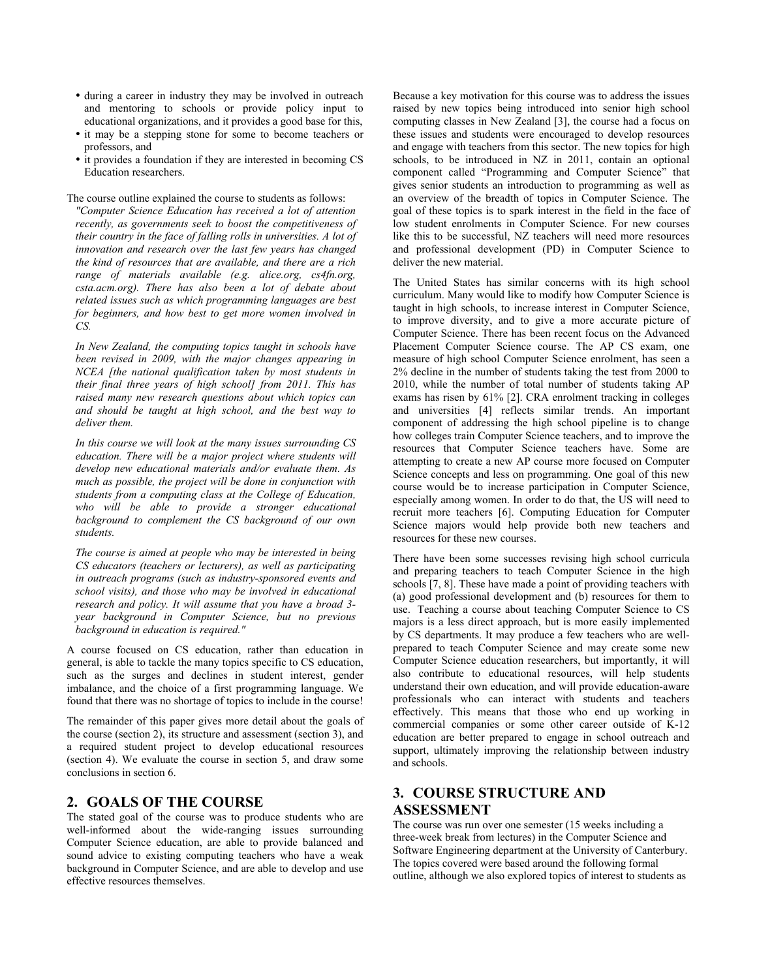- during a career in industry they may be involved in outreach and mentoring to schools or provide policy input to educational organizations, and it provides a good base for this,
- it may be a stepping stone for some to become teachers or professors, and
- it provides a foundation if they are interested in becoming CS Education researchers.

The course outline explained the course to students as follows:

*"Computer Science Education has received a lot of attention recently, as governments seek to boost the competitiveness of their country in the face of falling rolls in universities. A lot of innovation and research over the last few years has changed the kind of resources that are available, and there are a rich range of materials available (e.g. alice.org, cs4fn.org, csta.acm.org). There has also been a lot of debate about related issues such as which programming languages are best for beginners, and how best to get more women involved in CS.*

*In New Zealand, the computing topics taught in schools have been revised in 2009, with the major changes appearing in NCEA [the national qualification taken by most students in their final three years of high school] from 2011. This has raised many new research questions about which topics can and should be taught at high school, and the best way to deliver them.*

*In this course we will look at the many issues surrounding CS education. There will be a major project where students will develop new educational materials and/or evaluate them. As much as possible, the project will be done in conjunction with students from a computing class at the College of Education, who will be able to provide a stronger educational background to complement the CS background of our own students.*

*The course is aimed at people who may be interested in being CS educators (teachers or lecturers), as well as participating in outreach programs (such as industry-sponsored events and school visits), and those who may be involved in educational research and policy. It will assume that you have a broad 3 year background in Computer Science, but no previous background in education is required."*

A course focused on CS education, rather than education in general, is able to tackle the many topics specific to CS education, such as the surges and declines in student interest, gender imbalance, and the choice of a first programming language. We found that there was no shortage of topics to include in the course!

The remainder of this paper gives more detail about the goals of the course (section 2), its structure and assessment (section 3), and a required student project to develop educational resources (section 4). We evaluate the course in section 5, and draw some conclusions in section 6.

#### **2. GOALS OF THE COURSE**

The stated goal of the course was to produce students who are well-informed about the wide-ranging issues surrounding Computer Science education, are able to provide balanced and sound advice to existing computing teachers who have a weak background in Computer Science, and are able to develop and use effective resources themselves.

Because a key motivation for this course was to address the issues raised by new topics being introduced into senior high school computing classes in New Zealand [3], the course had a focus on these issues and students were encouraged to develop resources and engage with teachers from this sector. The new topics for high schools, to be introduced in NZ in 2011, contain an optional component called "Programming and Computer Science" that gives senior students an introduction to programming as well as an overview of the breadth of topics in Computer Science. The goal of these topics is to spark interest in the field in the face of low student enrolments in Computer Science. For new courses like this to be successful, NZ teachers will need more resources and professional development (PD) in Computer Science to deliver the new material.

The United States has similar concerns with its high school curriculum. Many would like to modify how Computer Science is taught in high schools, to increase interest in Computer Science, to improve diversity, and to give a more accurate picture of Computer Science. There has been recent focus on the Advanced Placement Computer Science course. The AP CS exam, one measure of high school Computer Science enrolment, has seen a 2% decline in the number of students taking the test from 2000 to 2010, while the number of total number of students taking AP exams has risen by 61% [2]. CRA enrolment tracking in colleges and universities [4] reflects similar trends. An important component of addressing the high school pipeline is to change how colleges train Computer Science teachers, and to improve the resources that Computer Science teachers have. Some are attempting to create a new AP course more focused on Computer Science concepts and less on programming. One goal of this new course would be to increase participation in Computer Science, especially among women. In order to do that, the US will need to recruit more teachers [6]. Computing Education for Computer Science majors would help provide both new teachers and resources for these new courses.

There have been some successes revising high school curricula and preparing teachers to teach Computer Science in the high schools [7, 8]. These have made a point of providing teachers with (a) good professional development and (b) resources for them to use. Teaching a course about teaching Computer Science to CS majors is a less direct approach, but is more easily implemented by CS departments. It may produce a few teachers who are wellprepared to teach Computer Science and may create some new Computer Science education researchers, but importantly, it will also contribute to educational resources, will help students understand their own education, and will provide education-aware professionals who can interact with students and teachers effectively. This means that those who end up working in commercial companies or some other career outside of K-12 education are better prepared to engage in school outreach and support, ultimately improving the relationship between industry and schools.

# **3. COURSE STRUCTURE AND ASSESSMENT**

The course was run over one semester (15 weeks including a three-week break from lectures) in the Computer Science and Software Engineering department at the University of Canterbury. The topics covered were based around the following formal outline, although we also explored topics of interest to students as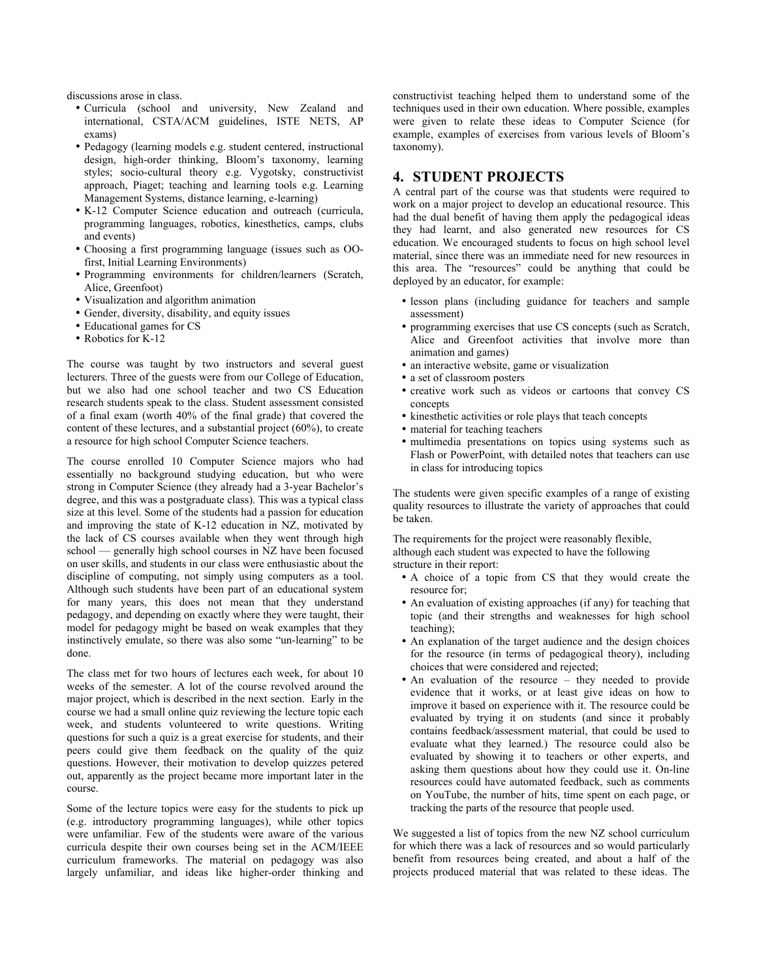discussions arose in class.

- Curricula (school and university, New Zealand and international, CSTA/ACM guidelines, ISTE NETS, AP exams)
- Pedagogy (learning models e.g. student centered, instructional design, high-order thinking, Bloom's taxonomy, learning styles; socio-cultural theory e.g. Vygotsky, constructivist approach, Piaget; teaching and learning tools e.g. Learning Management Systems, distance learning, e-learning)
- K-12 Computer Science education and outreach (curricula, programming languages, robotics, kinesthetics, camps, clubs and events)
- Choosing a first programming language (issues such as OOfirst, Initial Learning Environments)
- Programming environments for children/learners (Scratch, Alice, Greenfoot)
- Visualization and algorithm animation
- Gender, diversity, disability, and equity issues
- Educational games for CS
- Robotics for K-12

The course was taught by two instructors and several guest lecturers. Three of the guests were from our College of Education, but we also had one school teacher and two CS Education research students speak to the class. Student assessment consisted of a final exam (worth 40% of the final grade) that covered the content of these lectures, and a substantial project (60%), to create a resource for high school Computer Science teachers.

The course enrolled 10 Computer Science majors who had essentially no background studying education, but who were strong in Computer Science (they already had a 3-year Bachelor's degree, and this was a postgraduate class). This was a typical class size at this level. Some of the students had a passion for education and improving the state of K-12 education in NZ, motivated by the lack of CS courses available when they went through high school — generally high school courses in NZ have been focused on user skills, and students in our class were enthusiastic about the discipline of computing, not simply using computers as a tool. Although such students have been part of an educational system for many years, this does not mean that they understand pedagogy, and depending on exactly where they were taught, their model for pedagogy might be based on weak examples that they instinctively emulate, so there was also some "un-learning" to be done.

The class met for two hours of lectures each week, for about 10 weeks of the semester. A lot of the course revolved around the major project, which is described in the next section. Early in the course we had a small online quiz reviewing the lecture topic each week, and students volunteered to write questions. Writing questions for such a quiz is a great exercise for students, and their peers could give them feedback on the quality of the quiz questions. However, their motivation to develop quizzes petered out, apparently as the project became more important later in the course.

Some of the lecture topics were easy for the students to pick up (e.g. introductory programming languages), while other topics were unfamiliar. Few of the students were aware of the various curricula despite their own courses being set in the ACM/IEEE curriculum frameworks. The material on pedagogy was also largely unfamiliar, and ideas like higher-order thinking and constructivist teaching helped them to understand some of the techniques used in their own education. Where possible, examples were given to relate these ideas to Computer Science (for example, examples of exercises from various levels of Bloom's taxonomy).

## **4. STUDENT PROJECTS**

A central part of the course was that students were required to work on a major project to develop an educational resource. This had the dual benefit of having them apply the pedagogical ideas they had learnt, and also generated new resources for CS education. We encouraged students to focus on high school level material, since there was an immediate need for new resources in this area. The "resources" could be anything that could be deployed by an educator, for example:

- lesson plans (including guidance for teachers and sample assessment)
- programming exercises that use CS concepts (such as Scratch, Alice and Greenfoot activities that involve more than animation and games)
- an interactive website, game or visualization
- a set of classroom posters
- creative work such as videos or cartoons that convey CS concepts
- kinesthetic activities or role plays that teach concepts
- material for teaching teachers
- multimedia presentations on topics using systems such as Flash or PowerPoint, with detailed notes that teachers can use in class for introducing topics

The students were given specific examples of a range of existing quality resources to illustrate the variety of approaches that could be taken.

The requirements for the project were reasonably flexible, although each student was expected to have the following structure in their report:

- A choice of a topic from CS that they would create the resource for;
- An evaluation of existing approaches (if any) for teaching that topic (and their strengths and weaknesses for high school teaching);
- An explanation of the target audience and the design choices for the resource (in terms of pedagogical theory), including choices that were considered and rejected;
- An evaluation of the resource they needed to provide evidence that it works, or at least give ideas on how to improve it based on experience with it. The resource could be evaluated by trying it on students (and since it probably contains feedback/assessment material, that could be used to evaluate what they learned.) The resource could also be evaluated by showing it to teachers or other experts, and asking them questions about how they could use it. On-line resources could have automated feedback, such as comments on YouTube, the number of hits, time spent on each page, or tracking the parts of the resource that people used.

We suggested a list of topics from the new NZ school curriculum for which there was a lack of resources and so would particularly benefit from resources being created, and about a half of the projects produced material that was related to these ideas. The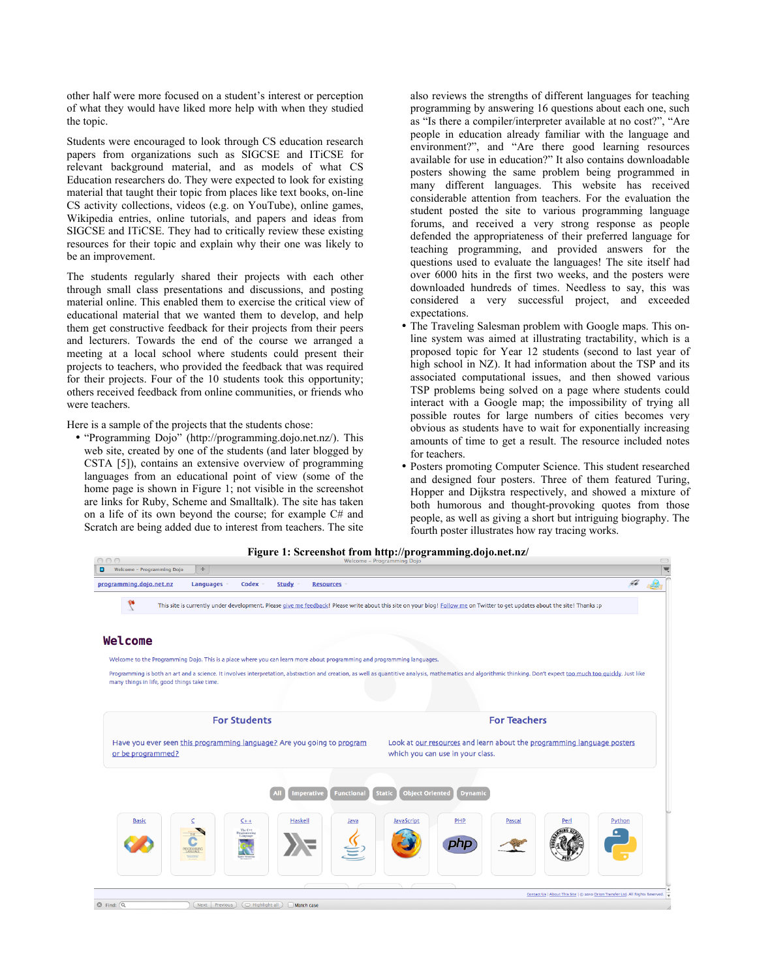other half were more focused on a student's interest or perception of what they would have liked more help with when they studied the topic.

Students were encouraged to look through CS education research papers from organizations such as SIGCSE and ITiCSE for relevant background material, and as models of what CS Education researchers do. They were expected to look for existing material that taught their topic from places like text books, on-line CS activity collections, videos (e.g. on YouTube), online games, Wikipedia entries, online tutorials, and papers and ideas from SIGCSE and ITiCSE. They had to critically review these existing resources for their topic and explain why their one was likely to be an improvement.

The students regularly shared their projects with each other through small class presentations and discussions, and posting material online. This enabled them to exercise the critical view of educational material that we wanted them to develop, and help them get constructive feedback for their projects from their peers and lecturers. Towards the end of the course we arranged a meeting at a local school where students could present their projects to teachers, who provided the feedback that was required for their projects. Four of the 10 students took this opportunity; others received feedback from online communities, or friends who were teachers.

Here is a sample of the projects that the students chose:

• "Programming Dojo" (http://programming.dojo.net.nz/). This web site, created by one of the students (and later blogged by CSTA [5]), contains an extensive overview of programming languages from an educational point of view (some of the home page is shown in Figure 1; not visible in the screenshot are links for Ruby, Scheme and Smalltalk). The site has taken on a life of its own beyond the course; for example C# and Scratch are being added due to interest from teachers. The site

also reviews the strengths of different languages for teaching programming by answering 16 questions about each one, such as "Is there a compiler/interpreter available at no cost?", "Are people in education already familiar with the language and environment?", and "Are there good learning resources available for use in education?" It also contains downloadable posters showing the same problem being programmed in many different languages. This website has received considerable attention from teachers. For the evaluation the student posted the site to various programming language forums, and received a very strong response as people defended the appropriateness of their preferred language for teaching programming, and provided answers for the questions used to evaluate the languages! The site itself had over 6000 hits in the first two weeks, and the posters were downloaded hundreds of times. Needless to say, this was considered a very successful project, and exceeded expectations.

- The Traveling Salesman problem with Google maps. This online system was aimed at illustrating tractability, which is a proposed topic for Year 12 students (second to last year of high school in NZ). It had information about the TSP and its associated computational issues, and then showed various TSP problems being solved on a page where students could interact with a Google map; the impossibility of trying all possible routes for large numbers of cities becomes very obvious as students have to wait for exponentially increasing amounts of time to get a result. The resource included notes for teachers.
- Posters promoting Computer Science. This student researched and designed four posters. Three of them featured Turing, Hopper and Dijkstra respectively, and showed a mixture of both humorous and thought-provoking quotes from those people, as well as giving a short but intriguing biography. The fourth poster illustrates how ray tracing works.

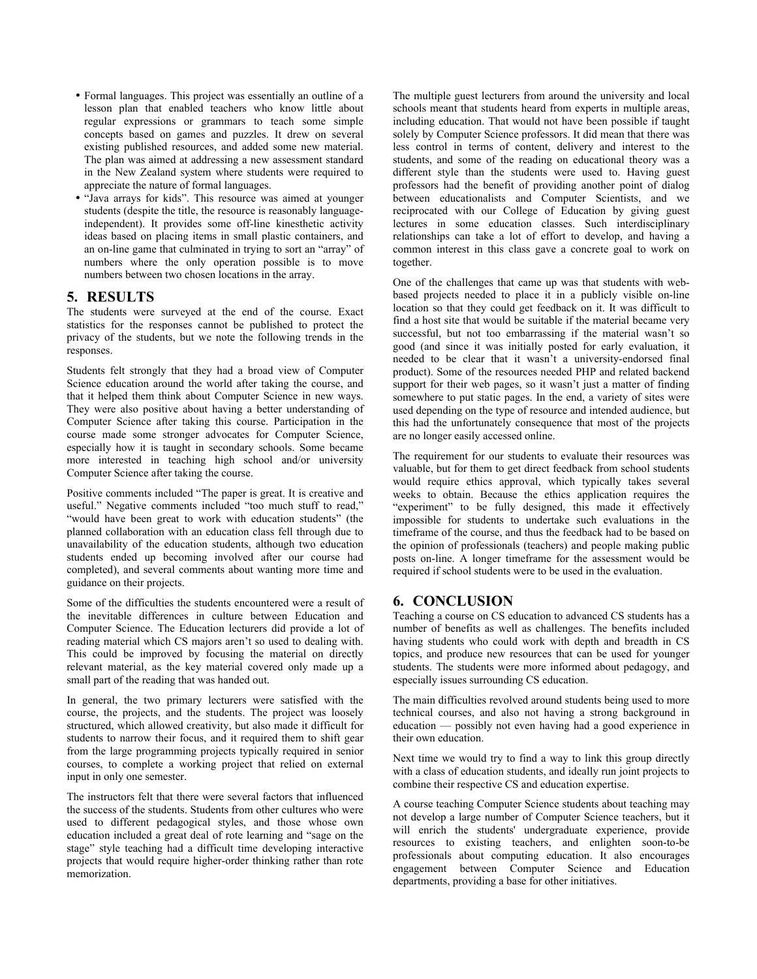- Formal languages. This project was essentially an outline of a lesson plan that enabled teachers who know little about regular expressions or grammars to teach some simple concepts based on games and puzzles. It drew on several existing published resources, and added some new material. The plan was aimed at addressing a new assessment standard in the New Zealand system where students were required to appreciate the nature of formal languages.
- "Java arrays for kids". This resource was aimed at younger students (despite the title, the resource is reasonably languageindependent). It provides some off-line kinesthetic activity ideas based on placing items in small plastic containers, and an on-line game that culminated in trying to sort an "array" of numbers where the only operation possible is to move numbers between two chosen locations in the array.

#### **5. RESULTS**

The students were surveyed at the end of the course. Exact statistics for the responses cannot be published to protect the privacy of the students, but we note the following trends in the responses.

Students felt strongly that they had a broad view of Computer Science education around the world after taking the course, and that it helped them think about Computer Science in new ways. They were also positive about having a better understanding of Computer Science after taking this course. Participation in the course made some stronger advocates for Computer Science, especially how it is taught in secondary schools. Some became more interested in teaching high school and/or university Computer Science after taking the course.

Positive comments included "The paper is great. It is creative and useful." Negative comments included "too much stuff to read," "would have been great to work with education students" (the planned collaboration with an education class fell through due to unavailability of the education students, although two education students ended up becoming involved after our course had completed), and several comments about wanting more time and guidance on their projects.

Some of the difficulties the students encountered were a result of the inevitable differences in culture between Education and Computer Science. The Education lecturers did provide a lot of reading material which CS majors aren't so used to dealing with. This could be improved by focusing the material on directly relevant material, as the key material covered only made up a small part of the reading that was handed out.

In general, the two primary lecturers were satisfied with the course, the projects, and the students. The project was loosely structured, which allowed creativity, but also made it difficult for students to narrow their focus, and it required them to shift gear from the large programming projects typically required in senior courses, to complete a working project that relied on external input in only one semester.

The instructors felt that there were several factors that influenced the success of the students. Students from other cultures who were used to different pedagogical styles, and those whose own education included a great deal of rote learning and "sage on the stage" style teaching had a difficult time developing interactive projects that would require higher-order thinking rather than rote memorization.

The multiple guest lecturers from around the university and local schools meant that students heard from experts in multiple areas, including education. That would not have been possible if taught solely by Computer Science professors. It did mean that there was less control in terms of content, delivery and interest to the students, and some of the reading on educational theory was a different style than the students were used to. Having guest professors had the benefit of providing another point of dialog between educationalists and Computer Scientists, and we reciprocated with our College of Education by giving guest lectures in some education classes. Such interdisciplinary relationships can take a lot of effort to develop, and having a common interest in this class gave a concrete goal to work on together.

One of the challenges that came up was that students with webbased projects needed to place it in a publicly visible on-line location so that they could get feedback on it. It was difficult to find a host site that would be suitable if the material became very successful, but not too embarrassing if the material wasn't so good (and since it was initially posted for early evaluation, it needed to be clear that it wasn't a university-endorsed final product). Some of the resources needed PHP and related backend support for their web pages, so it wasn't just a matter of finding somewhere to put static pages. In the end, a variety of sites were used depending on the type of resource and intended audience, but this had the unfortunately consequence that most of the projects are no longer easily accessed online.

The requirement for our students to evaluate their resources was valuable, but for them to get direct feedback from school students would require ethics approval, which typically takes several weeks to obtain. Because the ethics application requires the "experiment" to be fully designed, this made it effectively impossible for students to undertake such evaluations in the timeframe of the course, and thus the feedback had to be based on the opinion of professionals (teachers) and people making public posts on-line. A longer timeframe for the assessment would be required if school students were to be used in the evaluation.

# **6. CONCLUSION**

Teaching a course on CS education to advanced CS students has a number of benefits as well as challenges. The benefits included having students who could work with depth and breadth in CS topics, and produce new resources that can be used for younger students. The students were more informed about pedagogy, and especially issues surrounding CS education.

The main difficulties revolved around students being used to more technical courses, and also not having a strong background in education — possibly not even having had a good experience in their own education.

Next time we would try to find a way to link this group directly with a class of education students, and ideally run joint projects to combine their respective CS and education expertise.

A course teaching Computer Science students about teaching may not develop a large number of Computer Science teachers, but it will enrich the students' undergraduate experience, provide resources to existing teachers, and enlighten soon-to-be professionals about computing education. It also encourages engagement between Computer Science and Education departments, providing a base for other initiatives.